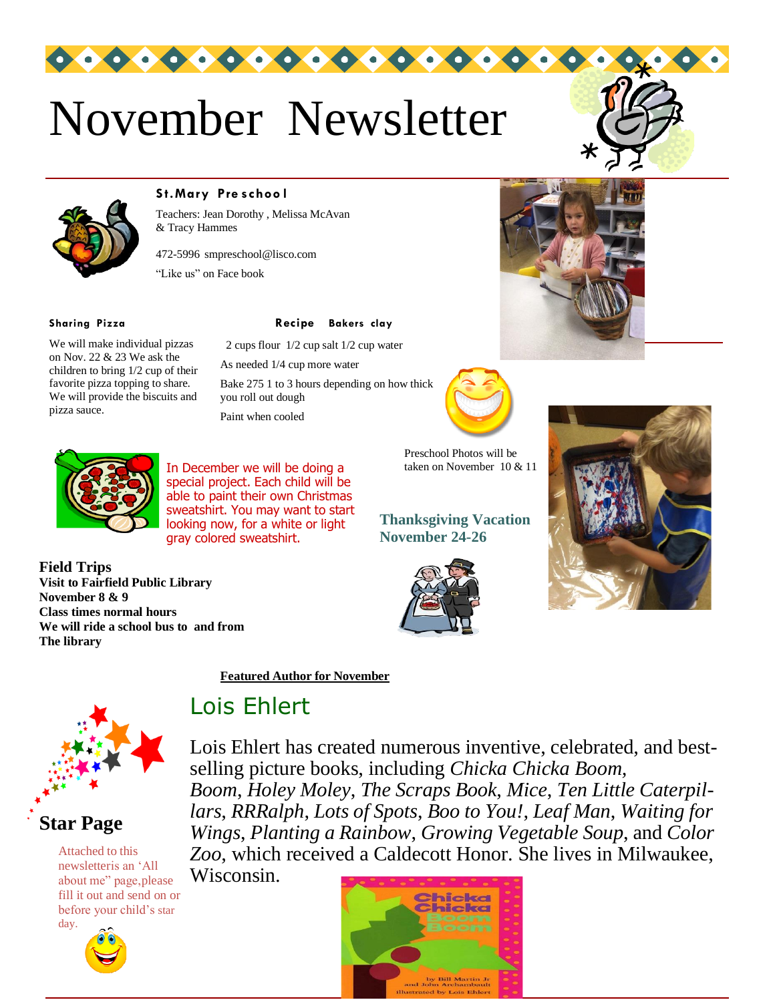

 $000000000000000$ 





#### **S t.Mary Pre s choo l**

Teachers: Jean Dorothy , Melissa McAvan & Tracy Hammes

472-5996 [smpreschool@lisco.com](mailto:smpreschool@lisco.com) "Like us" on Face book

pizza sauce.

**Field Trips**

**The library**

**November 8 & 9**

We will make individual pizzas on Nov. 22 & 23 We ask the children to bring 1/2 cup of their favorite pizza topping to share. We will provide the biscuits and

**Sharing Pizza Recipe Bakers clay**

2 cups flour 1/2 cup salt 1/2 cup water

As needed 1/4 cup more water

Bake 275 1 to 3 hours depending on how thick you roll out dough

Paint when cooled



Preschool Photos will be taken on November 10 & 11







**Class times normal hours**

**Visit to Fairfield Public Library**

**We will ride a school bus to and from**

In December we will be doing a special project. Each child will be able to paint their own Christmas sweatshirt. You may want to start looking now, for a white or light gray colored sweatshirt.

**Thanksgiving Vacation November 24-26**





#### **Star Page**

Attached to this newsletteris an 'All about me" page,please fill it out and send on or before your child's star day.



**Featured Author for November**

# Lois Ehlert

Lois Ehlert has created numerous inventive, celebrated, and bestselling picture books, including *Chicka Chicka Boom, Boom*, *Holey Moley*, *The Scraps Book*, *Mice*, *Ten Little Caterpillars*, *RRRalph*, *Lots of Spots*, *Boo to You!*, *Leaf Man*, *Waiting for Wings*, *Planting a Rainbow*, *Growing Vegetable Soup*, and *Color Zoo*, which received a Caldecott Honor. She lives in Milwaukee,

Wisconsin.

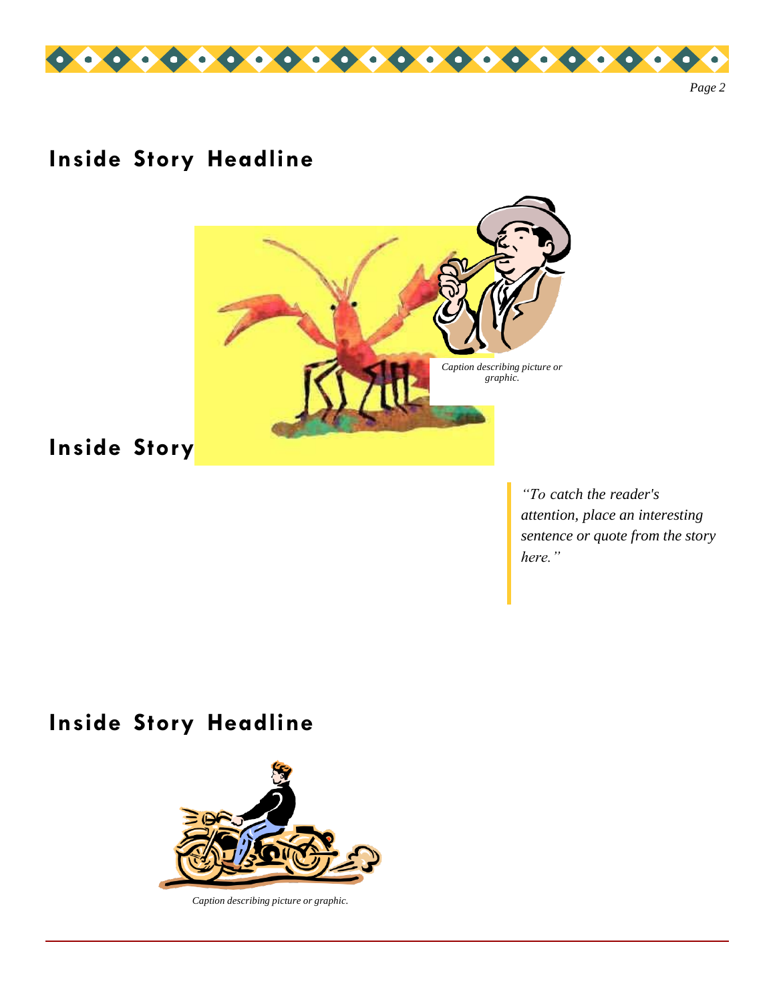

# **Inside Story Headline**



# **Inside Story**

*"To catch the reader's attention, place an interesting sentence or quote from the story here."*

### **Inside Story Headline**



*Caption describing picture or graphic.*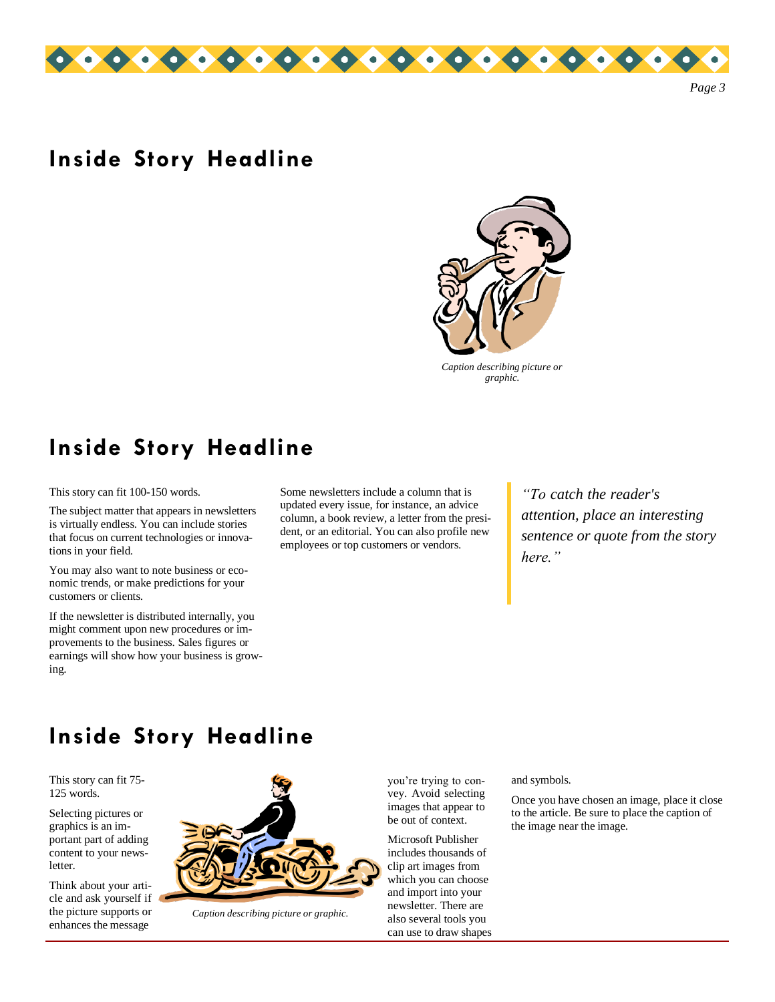

#### **Inside Story Headline**



*Caption describing picture or graphic.*

#### **Inside Story Headline**

This story can fit 100-150 words.

The subject matter that appears in newsletters is virtually endless. You can include stories that focus on current technologies or innovations in your field.

You may also want to note business or economic trends, or make predictions for your customers or clients.

If the newsletter is distributed internally, you might comment upon new procedures or improvements to the business. Sales figures or earnings will show how your business is growing.

Some newsletters include a column that is updated every issue, for instance, an advice column, a book review, a letter from the president, or an editorial. You can also profile new employees or top customers or vendors.

*"To catch the reader's attention, place an interesting sentence or quote from the story here."*

### **Inside Story Headline**

This story can fit 75- 125 words.

Selecting pictures or graphics is an important part of adding content to your newsletter.

Think about your article and ask yourself if the picture supports or enhances the message



*Caption describing picture or graphic.*

you're trying to convey. Avoid selecting images that appear to be out of context.

Microsoft Publisher includes thousands of clip art images from which you can choose and import into your newsletter. There are also several tools you can use to draw shapes

#### and symbols.

Once you have chosen an image, place it close to the article. Be sure to place the caption of the image near the image.